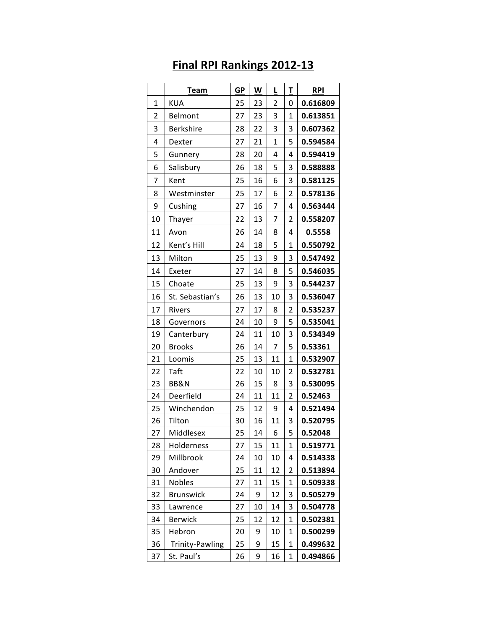|              | Team                   | <b>GP</b> | W  | L            | Τ | <b>RPI</b> |
|--------------|------------------------|-----------|----|--------------|---|------------|
| $\mathbf{1}$ | KUA                    | 25        | 23 | 2            | 0 | 0.616809   |
| 2            | <b>Belmont</b>         | 27        | 23 | 3            | 1 | 0.613851   |
| 3            | <b>Berkshire</b>       | 28        | 22 | 3            | 3 | 0.607362   |
| 4            | Dexter                 | 27        | 21 | $\mathbf{1}$ | 5 | 0.594584   |
| 5            | Gunnery                | 28        | 20 | 4            | 4 | 0.594419   |
| 6            | Salisbury              | 26        | 18 | 5            | 3 | 0.588888   |
| 7            | Kent                   | 25        | 16 | 6            | 3 | 0.581125   |
| 8            | Westminster            | 25        | 17 | 6            | 2 | 0.578136   |
| 9            | Cushing                | 27        | 16 | 7            | 4 | 0.563444   |
| 10           | Thayer                 | 22        | 13 | 7            | 2 | 0.558207   |
| 11           | Avon                   | 26        | 14 | 8            | 4 | 0.5558     |
| 12           | Kent's Hill            | 24        | 18 | 5            | 1 | 0.550792   |
| 13           | Milton                 | 25        | 13 | 9            | 3 | 0.547492   |
| 14           | Exeter                 | 27        | 14 | 8            | 5 | 0.546035   |
| 15           | Choate                 | 25        | 13 | 9            | 3 | 0.544237   |
| 16           | St. Sebastian's        | 26        | 13 | 10           | 3 | 0.536047   |
| 17           | Rivers                 | 27        | 17 | 8            | 2 | 0.535237   |
| 18           | Governors              | 24        | 10 | 9            | 5 | 0.535041   |
| 19           | Canterbury             | 24        | 11 | 10           | 3 | 0.534349   |
| 20           | <b>Brooks</b>          | 26        | 14 | 7            | 5 | 0.53361    |
| 21           | Loomis                 | 25        | 13 | 11           | 1 | 0.532907   |
| 22           | Taft                   | 22        | 10 | 10           | 2 | 0.532781   |
| 23           | BB&N                   | 26        | 15 | 8            | 3 | 0.530095   |
| 24           | Deerfield              | 24        | 11 | 11           | 2 | 0.52463    |
| 25           | Winchendon             | 25        | 12 | 9            | 4 | 0.521494   |
| 26           | Tilton                 | 30        | 16 | 11           | 3 | 0.520795   |
| 27           | Middlesex              | 25        | 14 | 6            | 5 | 0.52048    |
| 28           | Holderness             | 27        | 15 | 11           | 1 | 0.519771   |
| 29           | Millbrook              | 24        | 10 | 10           | 4 | 0.514338   |
| 30           | Andover                | 25        | 11 | 12           | 2 | 0.513894   |
| 31           | <b>Nobles</b>          | 27        | 11 | 15           | 1 | 0.509338   |
| 32           | <b>Brunswick</b>       | 24        | 9  | 12           | 3 | 0.505279   |
| 33           | Lawrence               | 27        | 10 | 14           | 3 | 0.504778   |
| 34           | <b>Berwick</b>         | 25        | 12 | 12           | 1 | 0.502381   |
| 35           | Hebron                 | 20        | 9  | 10           | 1 | 0.500299   |
| 36           | <b>Trinity-Pawling</b> | 25        | 9  | 15           | 1 | 0.499632   |
| 37           | St. Paul's             | 26        | 9  | 16           | 1 | 0.494866   |

## **Final RPI Rankings 2012-13**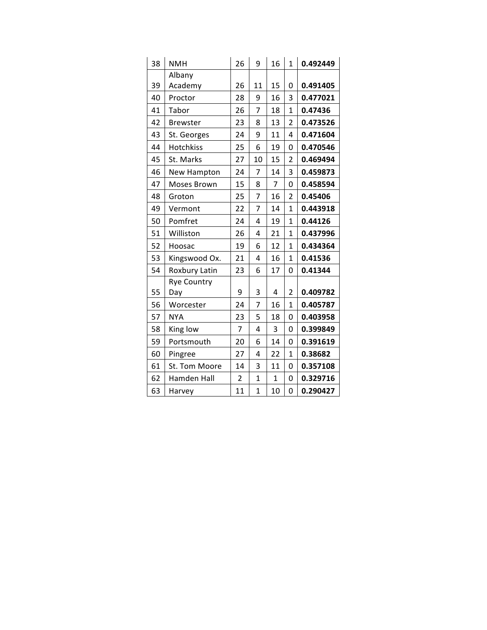| 38 | <b>NMH</b>       | 26 | 9            | 16 | $\mathbf{1}$   | 0.492449 |
|----|------------------|----|--------------|----|----------------|----------|
|    | Albany           |    |              |    |                |          |
| 39 | Academy          | 26 | 11           | 15 | 0              | 0.491405 |
| 40 | Proctor          | 28 | 9            | 16 | 3              | 0.477021 |
| 41 | Tabor            | 26 | 7            | 18 | $\overline{1}$ | 0.47436  |
| 42 | <b>Brewster</b>  | 23 | 8            | 13 | $\overline{2}$ | 0.473526 |
| 43 | St. Georges      | 24 | 9            | 11 | 4              | 0.471604 |
| 44 | <b>Hotchkiss</b> | 25 | 6            | 19 | 0              | 0.470546 |
| 45 | St. Marks        | 27 | 10           | 15 | $\overline{2}$ | 0.469494 |
| 46 | New Hampton      | 24 | 7            | 14 | 3              | 0.459873 |
| 47 | Moses Brown      | 15 | 8            | 7  | 0              | 0.458594 |
| 48 | Groton           | 25 | 7            | 16 | $\overline{2}$ | 0.45406  |
| 49 | Vermont          | 22 | 7            | 14 | $\mathbf{1}$   | 0.443918 |
| 50 | Pomfret          | 24 | 4            | 19 | $\mathbf{1}$   | 0.44126  |
| 51 | Williston        | 26 | 4            | 21 | $\mathbf{1}$   | 0.437996 |
| 52 | Hoosac           | 19 | 6            | 12 | $\mathbf{1}$   | 0.434364 |
| 53 | Kingswood Ox.    | 21 | 4            | 16 | $\mathbf{1}$   | 0.41536  |
| 54 | Roxbury Latin    | 23 | 6            | 17 | 0              | 0.41344  |
|    | Rye Country      |    |              |    |                |          |
| 55 | Day              | 9  | 3            | 4  | $\overline{2}$ | 0.409782 |
| 56 | Worcester        | 24 | 7            | 16 | $\mathbf{1}$   | 0.405787 |
| 57 | <b>NYA</b>       | 23 | 5            | 18 | 0              | 0.403958 |
| 58 | King low         | 7  | 4            | 3  | 0              | 0.399849 |
| 59 | Portsmouth       | 20 | 6            | 14 | 0              | 0.391619 |
| 60 | Pingree          | 27 | 4            | 22 | 1              | 0.38682  |
| 61 | St. Tom Moore    | 14 | 3            | 11 | 0              | 0.357108 |
| 62 | Hamden Hall      | 2  | $\mathbf{1}$ | 1  | 0              | 0.329716 |
| 63 | Harvey           | 11 | $\mathbf{1}$ | 10 | 0              | 0.290427 |